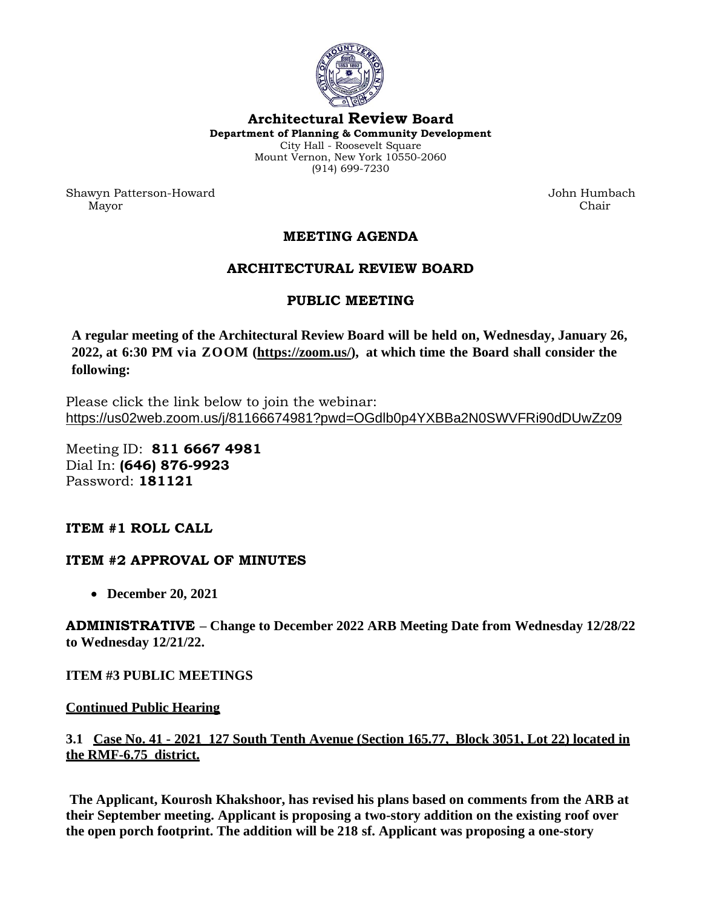

#### **Architectural Review Board**

**Department of Planning & Community Development** City Hall - Roosevelt Square Mount Vernon, New York 10550-2060 (914) 699-7230

Shawyn Patterson-Howard John Humbach Mayor Chair

## **MEETING AGENDA**

## **ARCHITECTURAL REVIEW BOARD**

# **PUBLIC MEETING**

**A regular meeting of the Architectural Review Board will be held on, Wednesday, January 26, 2022, at 6:30 PM via ZOOM [\(https://zoom.us/\)](https://zoom.us/), at which time the Board shall consider the following:**

Please click the link below to join the webinar: <https://us02web.zoom.us/j/81166674981?pwd=OGdlb0p4YXBBa2N0SWVFRi90dDUwZz09>

Meeting ID: **811 6667 4981** Dial In: **(646) 876-9923** Password: **181121**

### **ITEM #1 ROLL CALL**

### **ITEM #2 APPROVAL OF MINUTES**

• **December 20, 2021**

**ADMINISTRATIVE – Change to December 2022 ARB Meeting Date from Wednesday 12/28/22 to Wednesday 12/21/22.**

#### **ITEM #3 PUBLIC MEETINGS**

#### **Continued Public Hearing**

### **3.1 Case No. 41 - 2021 127 South Tenth Avenue (Section 165.77, Block 3051, Lot 22) located in the RMF-6.75 district.**

**The Applicant, Kourosh Khakshoor, has revised his plans based on comments from the ARB at their September meeting. Applicant is proposing a two-story addition on the existing roof over the open porch footprint. The addition will be 218 sf. Applicant was proposing a one-story**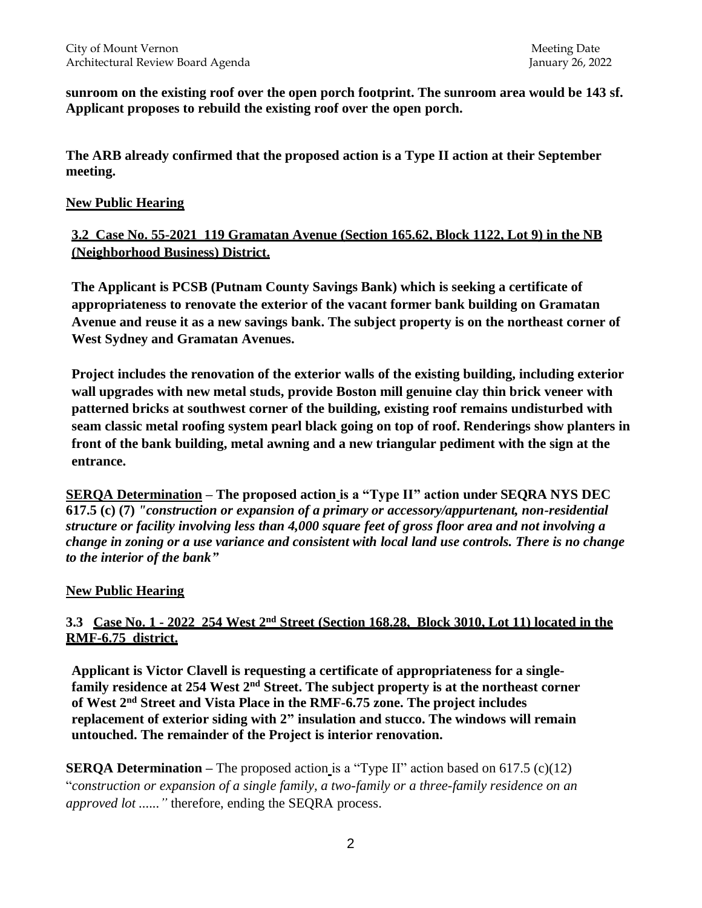**sunroom on the existing roof over the open porch footprint. The sunroom area would be 143 sf. Applicant proposes to rebuild the existing roof over the open porch.** 

**The ARB already confirmed that the proposed action is a Type II action at their September meeting.** 

#### **New Public Hearing**

**3.2 Case No. 55-2021 119 Gramatan Avenue (Section 165.62, Block 1122, Lot 9) in the NB (Neighborhood Business) District.** 

**The Applicant is PCSB (Putnam County Savings Bank) which is seeking a certificate of appropriateness to renovate the exterior of the vacant former bank building on Gramatan Avenue and reuse it as a new savings bank. The subject property is on the northeast corner of West Sydney and Gramatan Avenues.** 

**Project includes the renovation of the exterior walls of the existing building, including exterior wall upgrades with new metal studs, provide Boston mill genuine clay thin brick veneer with patterned bricks at southwest corner of the building, existing roof remains undisturbed with seam classic metal roofing system pearl black going on top of roof. Renderings show planters in front of the bank building, metal awning and a new triangular pediment with the sign at the entrance.**

**SERQA Determination – The proposed action is a "Type II" action under SEQRA NYS DEC 617.5 (c) (7)** *"construction or expansion of a primary or accessory/appurtenant, non-residential structure or facility involving less than 4,000 square feet of gross floor area and not involving a change in zoning or a use variance and consistent with local land use controls. There is no change to the interior of the bank"*

#### **New Public Hearing**

## **3.3 Case No. 1 - 2022 254 West 2nd Street (Section 168.28, Block 3010, Lot 11) located in the RMF-6.75 district.**

**Applicant is Victor Clavell is requesting a certificate of appropriateness for a singlefamily residence at 254 West 2nd Street. The subject property is at the northeast corner of West 2nd Street and Vista Place in the RMF-6.75 zone. The project includes replacement of exterior siding with 2" insulation and stucco. The windows will remain untouched. The remainder of the Project is interior renovation.** 

**SERQA Determination** – The proposed action is a "Type II" action based on 617.5 (c)(12) "*construction or expansion of a single family, a two-family or a three-family residence on an approved lot ......"* therefore, ending the SEQRA process.